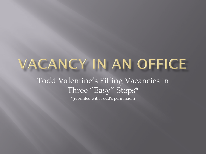## VACANCY IN AN OFFICE Todd Valentine's Filling Vacancies in Three "Easy" Steps\* \*(reprinted with Todd's permission)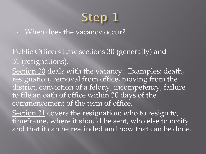## Step 1

■ When does the vacancy occur?

Public Officers Law sections 30 (generally) and 31 (resignations).

Section 30 deals with the vacancy. Examples: death, resignation, removal from office, moving from the district, conviction of a felony, incompetency, failure to file an oath of office within 30 days of the commencement of the term of office.

Section 31 covers the resignation: who to resign to, timeframe, where it should be sent, who else to notify and that it can be rescinded and how that can be done.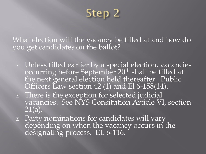Step 2

What election will the vacancy be filled at and how do you get candidates on the ballot?

- Unless filled earlier by a special election, vacancies occurring before September 20<sup>th</sup> shall be filled at the next general election held thereafter. Public Officers Law section 42 (1) and El 6-158(14).
- There is the exception for selected judicial vacancies. See NYS Consitution Article VI, section 21(a).
- Party nominations for candidates will vary depending on when the vacancy occurs in the designating process. EL 6-116.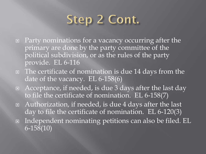## Step 2 Cont.

- □ Party nominations for a vacancy occurring after the primary are done by the party committee of the political subdivision, or as the rules of the party provide. EL 6-116
- □ The certificate of nomination is due 14 days from the date of the vacancy. EL 6-158(6)
- $\Box$  Acceptance, if needed, is due 3 days after the last day to file the certificate of nomination. EL 6-158(7)
- Authorization, if needed, is due 4 days after the last day to file the certificate of nomination. EL 6-120(3)
- Independent nominating petitions can also be filed. EL 6-158(10)